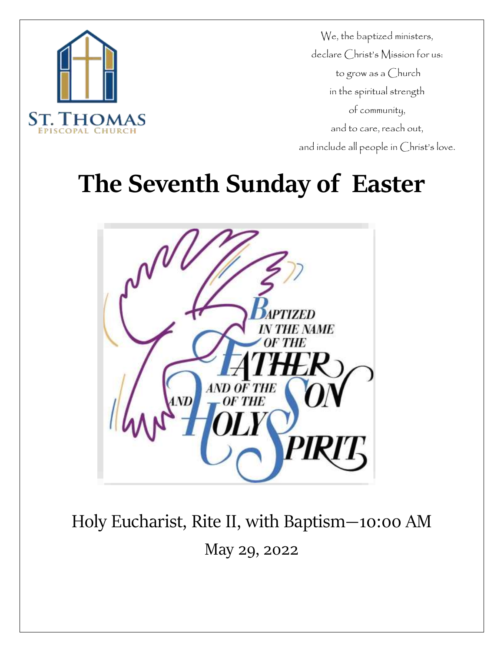

We, the baptized ministers, declare Christ's Mission for us: to grow as a Church in the spiritual strength of community, and to care, reach out, and include all people in Christ's love.

## **The Seventh Sunday of Easter**



# Holy Eucharist, Rite II, with Baptism—10:00 AM

May 29, 2022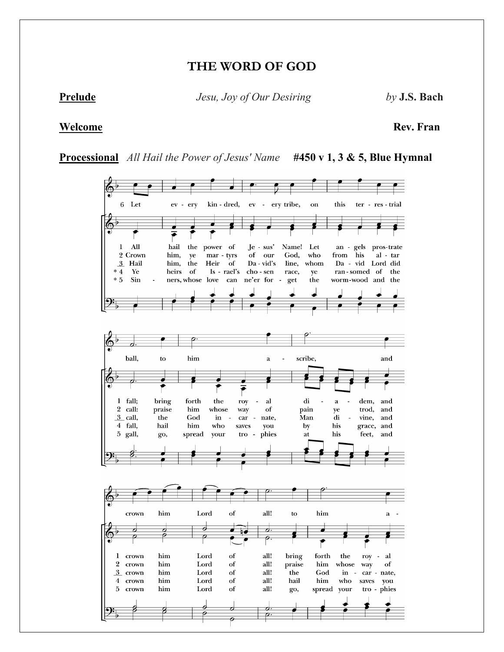### **THE WORD OF GOD**

**Prelude** *Jesu, Joy of Our Desiring by* **J.S. Bach**

**Processional** *All Hail the Power of Jesus' Name* **#450 v 1, 3 & 5, Blue Hymnal** 



**Welcome Rev. Fran**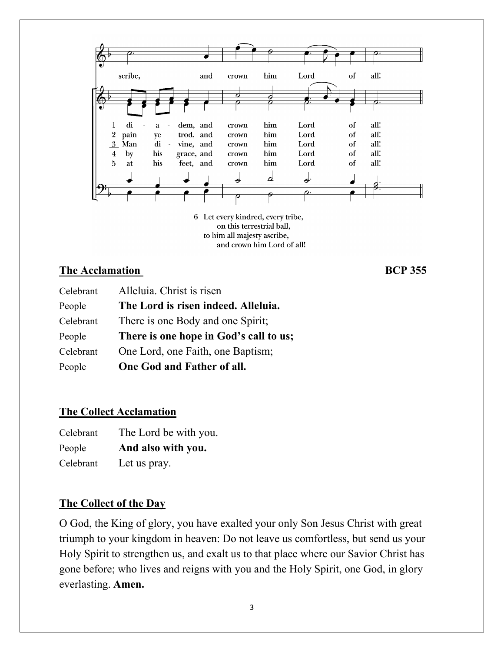

6 Let every kindred, every tribe, on this terrestrial ball, to him all majesty ascribe, and crown him Lord of all!

#### **The Acclamation BCP 355**

Celebrant Alleluia. Christ is risen People **The Lord is risen indeed. Alleluia.** Celebrant There is one Body and one Spirit; People **There is one hope in God's call to us;** Celebrant One Lord, one Faith, one Baptism; People **One God and Father of all.**

#### **The Collect Acclamation**

| Celebrant | The Lord be with you. |
|-----------|-----------------------|
| People    | And also with you.    |
| Celebrant | Let us pray.          |

#### **The Collect of the Day**

O God, the King of glory, you have exalted your only Son Jesus Christ with great triumph to your kingdom in heaven: Do not leave us comfortless, but send us your Holy Spirit to strengthen us, and exalt us to that place where our Savior Christ has gone before; who lives and reigns with you and the Holy Spirit, one God, in glory everlasting. **Amen.**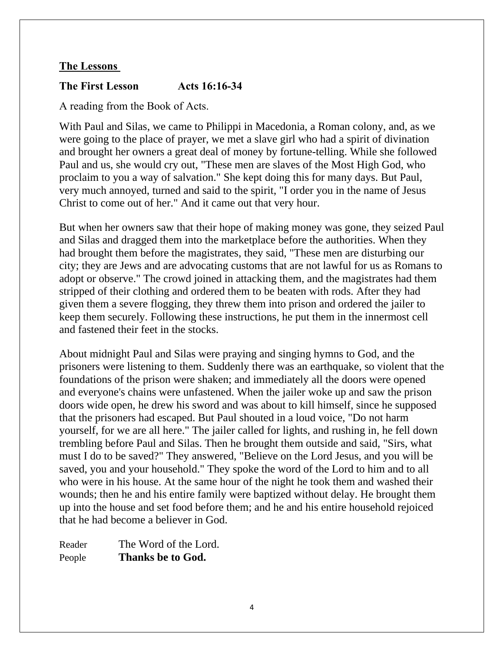#### **The Lessons**

#### **The First Lesson Acts 16:16-34**

A reading from the Book of Acts.

With Paul and Silas, we came to Philippi in Macedonia, a Roman colony, and, as we were going to the place of prayer, we met a slave girl who had a spirit of divination and brought her owners a great deal of money by fortune-telling. While she followed Paul and us, she would cry out, "These men are slaves of the Most High God, who proclaim to you a way of salvation." She kept doing this for many days. But Paul, very much annoyed, turned and said to the spirit, "I order you in the name of Jesus Christ to come out of her." And it came out that very hour.

But when her owners saw that their hope of making money was gone, they seized Paul and Silas and dragged them into the marketplace before the authorities. When they had brought them before the magistrates, they said, "These men are disturbing our city; they are Jews and are advocating customs that are not lawful for us as Romans to adopt or observe." The crowd joined in attacking them, and the magistrates had them stripped of their clothing and ordered them to be beaten with rods. After they had given them a severe flogging, they threw them into prison and ordered the jailer to keep them securely. Following these instructions, he put them in the innermost cell and fastened their feet in the stocks.

About midnight Paul and Silas were praying and singing hymns to God, and the prisoners were listening to them. Suddenly there was an earthquake, so violent that the foundations of the prison were shaken; and immediately all the doors were opened and everyone's chains were unfastened. When the jailer woke up and saw the prison doors wide open, he drew his sword and was about to kill himself, since he supposed that the prisoners had escaped. But Paul shouted in a loud voice, "Do not harm yourself, for we are all here." The jailer called for lights, and rushing in, he fell down trembling before Paul and Silas. Then he brought them outside and said, "Sirs, what must I do to be saved?" They answered, "Believe on the Lord Jesus, and you will be saved, you and your household." They spoke the word of the Lord to him and to all who were in his house. At the same hour of the night he took them and washed their wounds; then he and his entire family were baptized without delay. He brought them up into the house and set food before them; and he and his entire household rejoiced that he had become a believer in God.

Reader The Word of the Lord. People **Thanks be to God.**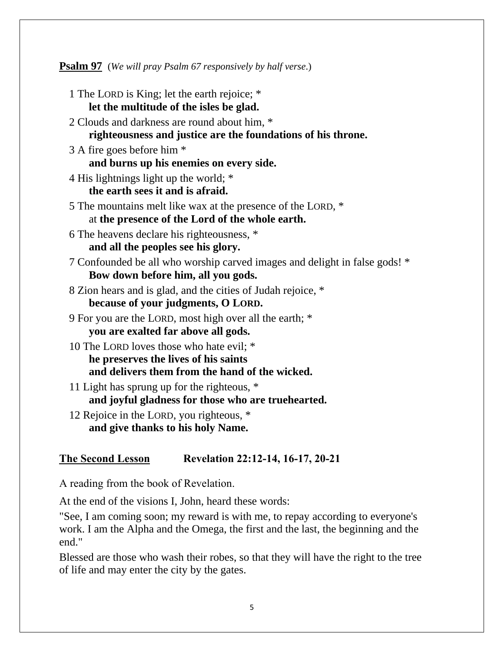**Psalm 97** (*We will pray Psalm 67 responsively by half verse*.)

| 1 The LORD is King; let the earth rejoice; *                                                                                       |
|------------------------------------------------------------------------------------------------------------------------------------|
| let the multitude of the isles be glad.                                                                                            |
| 2 Clouds and darkness are round about him, *<br>righteousness and justice are the foundations of his throne.                       |
| 3 A fire goes before him *<br>and burns up his enemies on every side.                                                              |
| 4 His lightnings light up the world; *<br>the earth sees it and is afraid.                                                         |
| 5 The mountains melt like wax at the presence of the LORD, *<br>at the presence of the Lord of the whole earth.                    |
| 6 The heavens declare his righteousness, *                                                                                         |
| and all the peoples see his glory.                                                                                                 |
| 7 Confounded be all who worship carved images and delight in false gods! *<br>Bow down before him, all you gods.                   |
| 8 Zion hears and is glad, and the cities of Judah rejoice, *<br>because of your judgments, O LORD.                                 |
| 9 For you are the LORD, most high over all the earth; *<br>you are exalted far above all gods.                                     |
| 10 The LORD loves those who hate evil; *<br>he preserves the lives of his saints<br>and delivers them from the hand of the wicked. |
| 11 Light has sprung up for the righteous, *<br>and joyful gladness for those who are truehearted.                                  |
| 12 Rejoice in the LORD, you righteous, *<br>and give thanks to his holy Name.                                                      |
|                                                                                                                                    |

#### **The Second Lesson Revelation 22:12-14, 16-17, 20-21**

A reading from the book of Revelation.

At the end of the visions I, John, heard these words:

"See, I am coming soon; my reward is with me, to repay according to everyone's work. I am the Alpha and the Omega, the first and the last, the beginning and the end."

Blessed are those who wash their robes, so that they will have the right to the tree of life and may enter the city by the gates.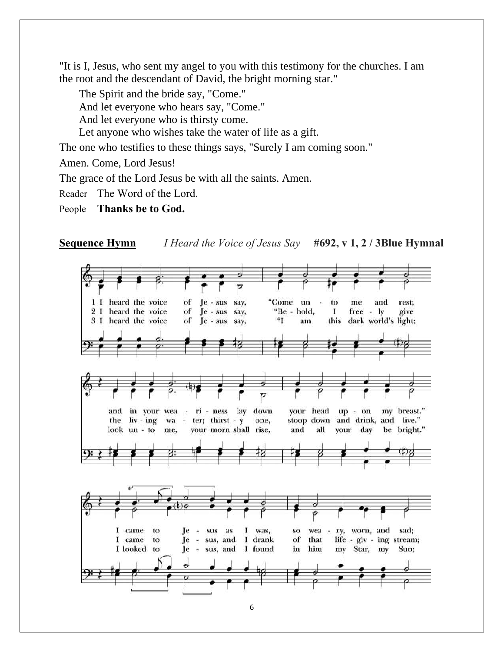"It is I, Jesus, who sent my angel to you with this testimony for the churches. I am the root and the descendant of David, the bright morning star."

The Spirit and the bride say, "Come."

And let everyone who hears say, "Come."

And let everyone who is thirsty come.

Let anyone who wishes take the water of life as a gift.

The one who testifies to these things says, "Surely I am coming soon."

Amen. Come, Lord Jesus!

The grace of the Lord Jesus be with all the saints. Amen.

Reader The Word of the Lord.

People **Thanks be to God.**

**Sequence Hymn** *I Heard the Voice of Jesus Say* **#692, v 1, 2 / 3Blue Hymnal** 

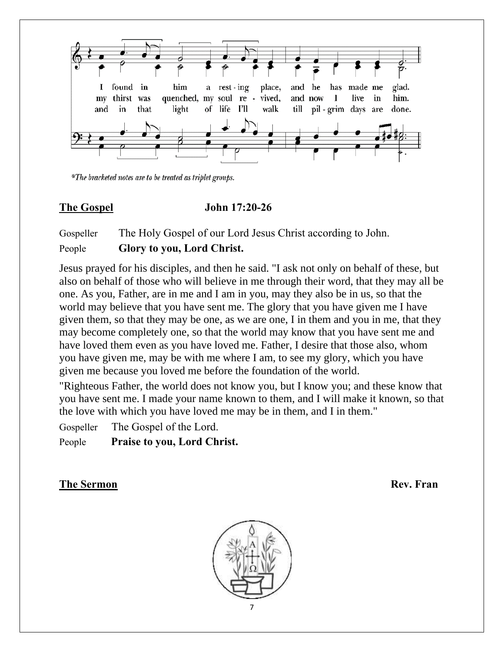

\*The bracketed notes are to be treated as triplet groups.

#### **The Gospel John 17:20-26**

Gospeller The Holy Gospel of our Lord Jesus Christ according to John. People **Glory to you, Lord Christ.**

Jesus prayed for his disciples, and then he said. "I ask not only on behalf of these, but also on behalf of those who will believe in me through their word, that they may all be one. As you, Father, are in me and I am in you, may they also be in us, so that the world may believe that you have sent me. The glory that you have given me I have given them, so that they may be one, as we are one, I in them and you in me, that they may become completely one, so that the world may know that you have sent me and have loved them even as you have loved me. Father, I desire that those also, whom you have given me, may be with me where I am, to see my glory, which you have given me because you loved me before the foundation of the world.

"Righteous Father, the world does not know you, but I know you; and these know that you have sent me. I made your name known to them, and I will make it known, so that the love with which you have loved me may be in them, and I in them."

Gospeller The Gospel of the Lord.

People **Praise to you, Lord Christ.**

#### **The Sermon** Rev. Fran

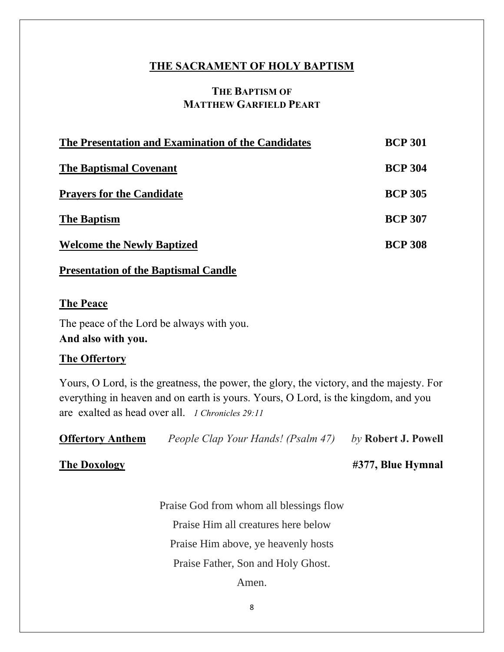#### **THE SACRAMENT OF HOLY BAPTISM**

#### **THE BAPTISM OF MATTHEW GARFIELD PEART**

| The Presentation and Examination of the Candidates | <b>BCP 301</b> |
|----------------------------------------------------|----------------|
| <b>The Baptismal Covenant</b>                      | <b>BCP 304</b> |
| <b>Prayers for the Candidate</b>                   | <b>BCP 305</b> |
| <b>The Baptism</b>                                 | <b>BCP 307</b> |
| <b>Welcome the Newly Baptized</b>                  | <b>BCP 308</b> |

#### **Presentation of the Baptismal Candle**

#### **The Peace**

The peace of the Lord be always with you. **And also with you.**

#### **The Offertory**

Yours, O Lord, is the greatness, the power, the glory, the victory, and the majesty. For everything in heaven and on earth is yours. Yours, O Lord, is the kingdom, and you are exalted as head over all. *1 Chronicles 29:11*

**Offertory Anthem** *People Clap Your Hands! (Psalm 47) by* **Robert J. Powell**

**The Doxology #377, Blue Hymnal**

Praise God from whom all blessings flow

Praise Him all creatures here below

Praise Him above, ye heavenly hosts

Praise Father, Son and Holy Ghost.

Amen.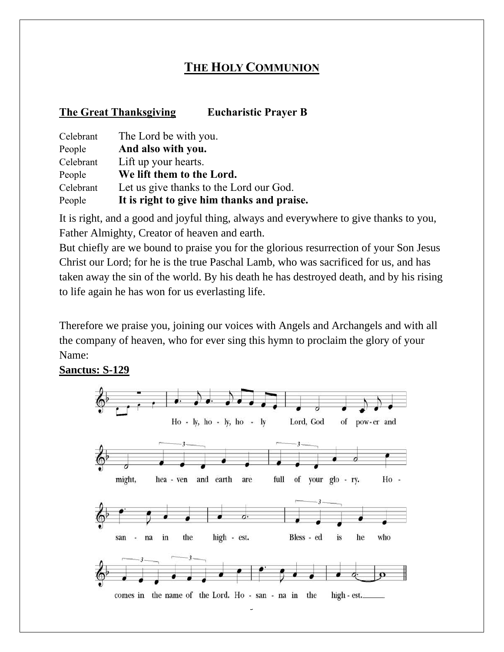## **THE HOLY COMMUNION**

### **The Great Thanksgiving Eucharistic Prayer B**

| Celebrant | The Lord be with you.                      |
|-----------|--------------------------------------------|
| People    | And also with you.                         |
| Celebrant | Lift up your hearts.                       |
| People    | We lift them to the Lord.                  |
| Celebrant | Let us give thanks to the Lord our God.    |
| People    | It is right to give him thanks and praise. |

It is right, and a good and joyful thing, always and everywhere to give thanks to you, Father Almighty, Creator of heaven and earth.

But chiefly are we bound to praise you for the glorious resurrection of your Son Jesus Christ our Lord; for he is the true Paschal Lamb, who was sacrificed for us, and has taken away the sin of the world. By his death he has destroyed death, and by his rising to life again he has won for us everlasting life.

Therefore we praise you, joining our voices with Angels and Archangels and with all the company of heaven, who for ever sing this hymn to proclaim the glory of your Name:

#### **Sanctus: S-129**

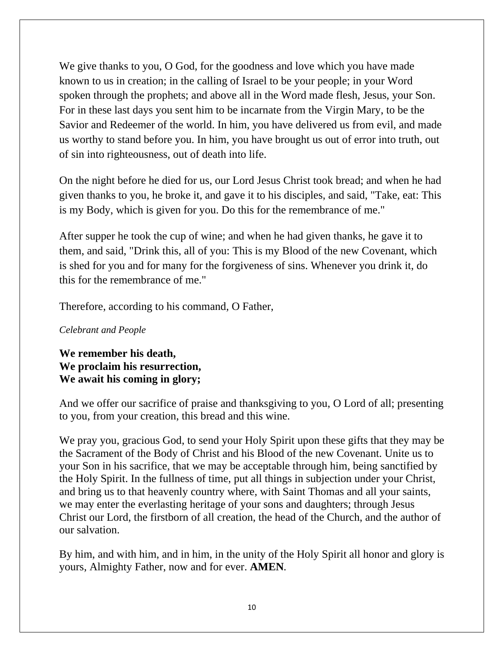We give thanks to you, O God, for the goodness and love which you have made known to us in creation; in the calling of Israel to be your people; in your Word spoken through the prophets; and above all in the Word made flesh, Jesus, your Son. For in these last days you sent him to be incarnate from the Virgin Mary, to be the Savior and Redeemer of the world. In him, you have delivered us from evil, and made us worthy to stand before you. In him, you have brought us out of error into truth, out of sin into righteousness, out of death into life.

On the night before he died for us, our Lord Jesus Christ took bread; and when he had given thanks to you, he broke it, and gave it to his disciples, and said, "Take, eat: This is my Body, which is given for you. Do this for the remembrance of me."

After supper he took the cup of wine; and when he had given thanks, he gave it to them, and said, "Drink this, all of you: This is my Blood of the new Covenant, which is shed for you and for many for the forgiveness of sins. Whenever you drink it, do this for the remembrance of me."

Therefore, according to his command, O Father,

#### *Celebrant and People*

#### **We remember his death, We proclaim his resurrection, We await his coming in glory;**

And we offer our sacrifice of praise and thanksgiving to you, O Lord of all; presenting to you, from your creation, this bread and this wine.

We pray you, gracious God, to send your Holy Spirit upon these gifts that they may be the Sacrament of the Body of Christ and his Blood of the new Covenant. Unite us to your Son in his sacrifice, that we may be acceptable through him, being sanctified by the Holy Spirit. In the fullness of time, put all things in subjection under your Christ, and bring us to that heavenly country where, with Saint Thomas and all your saints, we may enter the everlasting heritage of your sons and daughters; through Jesus Christ our Lord, the firstborn of all creation, the head of the Church, and the author of our salvation.

By him, and with him, and in him, in the unity of the Holy Spirit all honor and glory is yours, Almighty Father, now and for ever. **AMEN***.*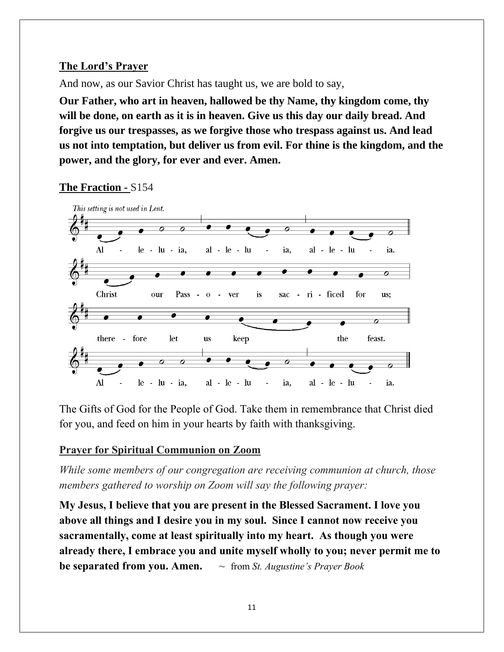#### **The Lord's Prayer**

And now, as our Savior Christ has taught us, we are bold to say,

**Our Father, who art in heaven, hallowed be thy Name, thy kingdom come, thy will be done, on earth as it is in heaven. Give us this day our daily bread. And forgive us our trespasses, as we forgive those who trespass against us. And lead us not into temptation, but deliver us from evil. For thine is the kingdom, and the power, and the glory, for ever and ever. Amen.**

## **The Fraction -** S154



The Gifts of God for the People of God. Take them in remembrance that Christ died for you, and feed on him in your hearts by faith with thanksgiving.

### **Prayer for Spiritual Communion on Zoom**

*While some members of our congregation are receiving communion at church, those members gathered to worship on Zoom will say the following prayer:*

**My Jesus, I believe that you are present in the Blessed Sacrament. I love you above all things and I desire you in my soul. Since I cannot now receive you sacramentally, come at least spiritually into my heart. As though you were already there, I embrace you and unite myself wholly to you; never permit me to be separated from you. Amen.** ~ from *St. Augustine's Prayer Book*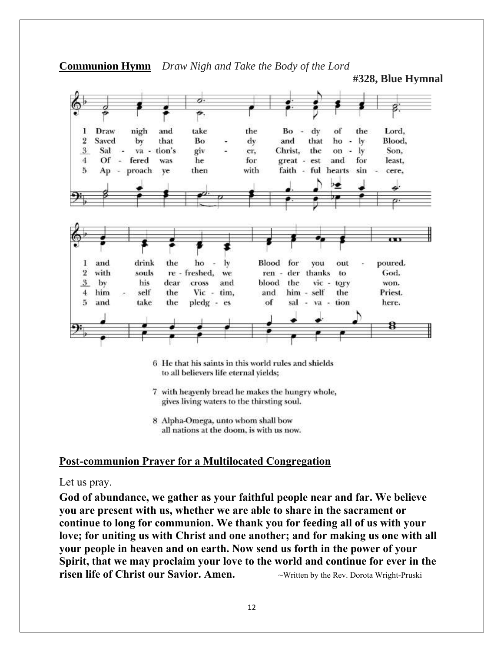**Communion Hymn** *Draw Nigh and Take the Body of the Lord*

**#328, Blue Hymnal** 



- 6 He that his saints in this world rules and shields to all believers life eternal yields;
- 7 with heavenly bread he makes the hungry whole, gives living waters to the thirsting soul.
- 8 Alpha-Omega, unto whom shall bow all nations at the doom, is with us now.

#### **Post-communion Prayer for a Multilocated Congregation**

#### Let us pray.

**God of abundance, we gather as your faithful people near and far. We believe you are present with us, whether we are able to share in the sacrament or continue to long for communion. We thank you for feeding all of us with your love; for uniting us with Christ and one another; and for making us one with all your people in heaven and on earth. Now send us forth in the power of your Spirit, that we may proclaim your love to the world and continue for ever in the risen life of Christ our Savior. Amen.**  $\sim$ Written by the Rev. Dorota Wright-Pruski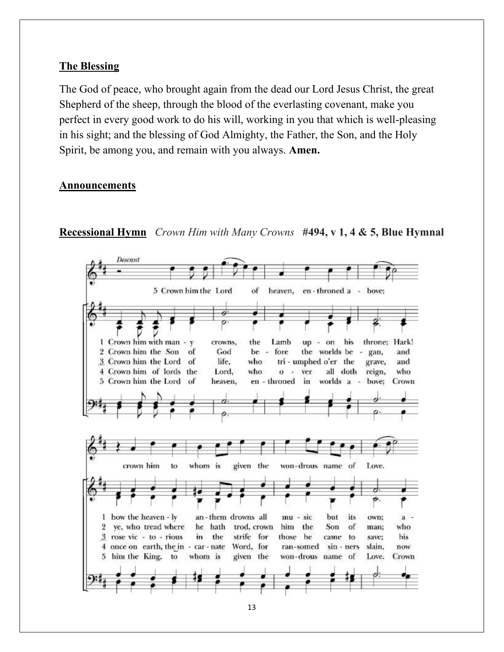#### **The Blessing**

The God of peace, who brought again from the dead our Lord Jesus Christ, the great Shepherd of the sheep, through the blood of the everlasting covenant, make you perfect in every good work to do his will, working in you that which is well-pleasing in his sight; and the blessing of God Almighty, the Father, the Son, and the Holy Spirit, be among you, and remain with you always. **Amen.**

#### **Announcements**

**Recessional Hymn** *Crown Him with Many Crowns* **#494, v 1, 4 & 5, Blue Hymnal**

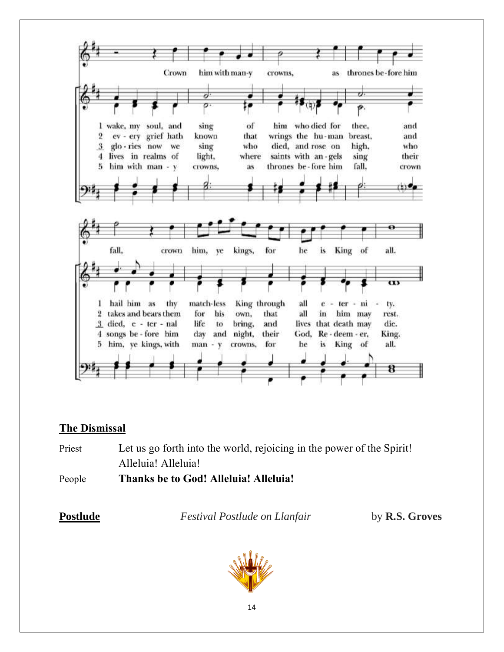

#### **The Dismissal**

- Priest Let us go forth into the world, rejoicing in the power of the Spirit! Alleluia! Alleluia!
- People **Thanks be to God! Alleluia! Alleluia!**

**Postlude** *Festival Postlude on Llanfair* by **R.S. Groves**

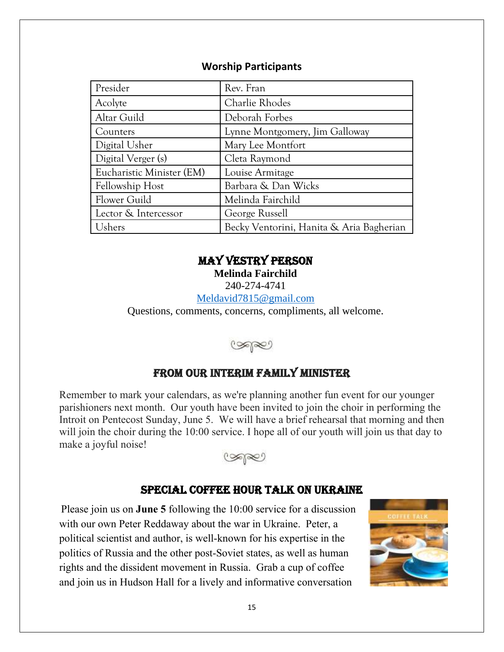#### **Worship Participants**

| Presider                  | Rev. Fran                                |
|---------------------------|------------------------------------------|
| Acolyte                   | Charlie Rhodes                           |
| Altar Guild               | Deborah Forbes                           |
| Counters                  | Lynne Montgomery, Jim Galloway           |
| Digital Usher             | Mary Lee Montfort                        |
| Digital Verger (s)        | Cleta Raymond                            |
| Eucharistic Minister (EM) | Louise Armitage                          |
| Fellowship Host           | Barbara & Dan Wicks                      |
| Flower Guild              | Melinda Fairchild                        |
| Lector & Intercessor      | George Russell                           |
| Ushers                    | Becky Ventorini, Hanita & Aria Bagherian |

#### May Vestry Person

**Melinda Fairchild**

240-274-4741

[Meldavid7815@gmail.com](mailto:Meldavid7815@gmail.com)

Questions, comments, concerns, compliments, all welcome.



#### From our InterIm FamIly mInIster

Remember to mark your calendars, as we're planning another fun event for our younger parishioners next month. Our youth have been invited to join the choir in performing the Introit on Pentecost Sunday, June 5. We will have a brief rehearsal that morning and then will join the choir during the 10:00 service. I hope all of our youth will join us that day to make a joyful noise!



### specIal coFFee Hour talk on ukraIne

Please join us on **June 5** following the 10:00 service for a discussion with our own Peter Reddaway about the war in Ukraine. Peter, a political scientist and author, is well-known for his expertise in the politics of Russia and the other post-Soviet states, as well as human rights and the dissident movement in Russia. Grab a cup of coffee and join us in Hudson Hall for a lively and informative conversation

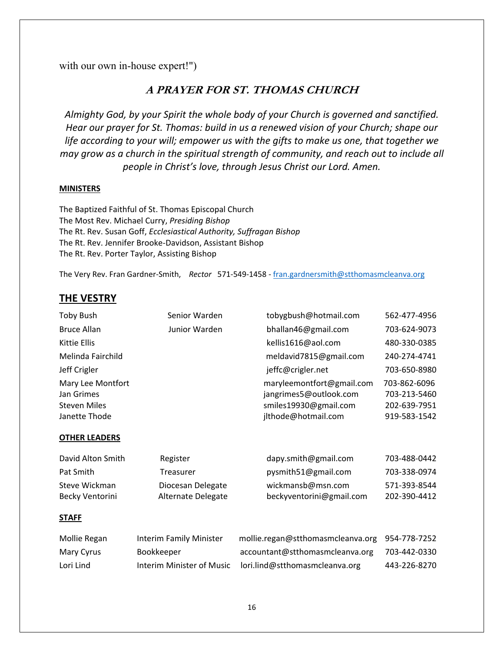with our own in-house expert!")

#### **A PRAYER FOR ST. THOMAS CHURCH**

*Almighty God, by your Spirit the whole body of your Church is governed and sanctified. Hear our prayer for St. Thomas: build in us a renewed vision of your Church; shape our life according to your will; empower us with the gifts to make us one, that together we may grow as a church in the spiritual strength of community, and reach out to include all people in Christ's love, through Jesus Christ our Lord. Amen.*

#### **MINISTERS**

The Baptized Faithful of St. Thomas Episcopal Church The Most Rev. Michael Curry, *Presiding Bishop* The Rt. Rev. Susan Goff, *Ecclesiastical Authority, Suffragan Bishop* The Rt. Rev. Jennifer Brooke-Davidson, Assistant Bishop The Rt. Rev. Porter Taylor, Assisting Bishop

The Very Rev. Fran Gardner-Smith, *Rector* 571-549-1458 - [fran.gardnersmith@stthomasmcleanva.org](mailto:fran.gardnersmith@stthomasmcleanva.org)

#### **THE VESTRY**

| <b>Toby Bush</b>                                                        | Senior Warden      | tobygbush@hotmail.com                                                                               | 562-477-4956                                                 |
|-------------------------------------------------------------------------|--------------------|-----------------------------------------------------------------------------------------------------|--------------------------------------------------------------|
| <b>Bruce Allan</b>                                                      | Junior Warden      | bhallan46@gmail.com                                                                                 | 703-624-9073                                                 |
| Kittie Ellis                                                            |                    | kellis1616@aol.com                                                                                  | 480-330-0385                                                 |
| Melinda Fairchild                                                       |                    | meldavid7815@gmail.com                                                                              | 240-274-4741                                                 |
| Jeff Crigler                                                            |                    | jeffc@crigler.net                                                                                   | 703-650-8980                                                 |
| Mary Lee Montfort<br>Jan Grimes<br><b>Steven Miles</b><br>Janette Thode |                    | maryleemontfort@gmail.com<br>jangrimes5@outlook.com<br>smiles19930@gmail.com<br>jlthode@hotmail.com | 703-862-6096<br>703-213-5460<br>202-639-7951<br>919-583-1542 |
| <b>OTHER LEADERS</b>                                                    |                    |                                                                                                     |                                                              |
| David Alton Smith                                                       | Register           | dapy.smith@gmail.com                                                                                | 703-488-0442                                                 |
| Pat Smith                                                               | Treasurer          | pysmith51@gmail.com                                                                                 | 703-338-0974                                                 |
| Steve Wickman                                                           | Diocesan Delegate  | wickmansb@msn.com                                                                                   | 571-393-8544                                                 |
| Becky Ventorini                                                         | Alternate Delegate | beckyventorini@gmail.com                                                                            | 202-390-4412                                                 |

#### **STAFF**

| Mollie Regan | Interim Family Minister   | mollie.regan@stthomasmcleanva.org 954-778-7252 |              |
|--------------|---------------------------|------------------------------------------------|--------------|
| Mary Cyrus   | <b>Bookkeeper</b>         | accountant@stthomasmcleanva.org                | 703-442-0330 |
| Lori Lind    | Interim Minister of Music | lori.lind@stthomasmcleanva.org                 | 443-226-8270 |